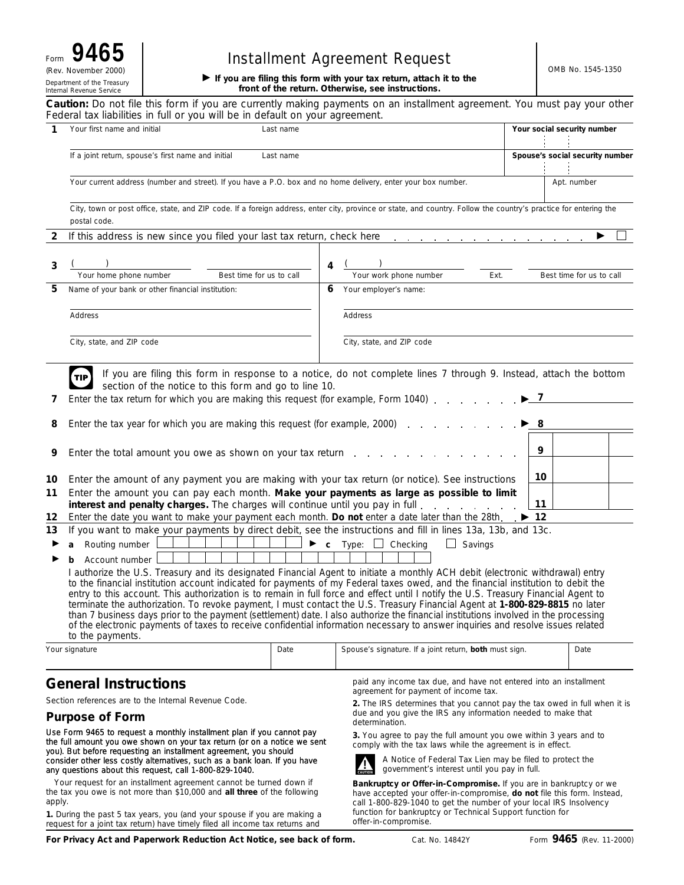# **Form 9465** | **Installment Agreement Request**

 **If you are filing this form with your tax return, attach it to the front of the return. Otherwise, see instructions.**

**Caution:** *Do not file this form if you are currently making payments on an installment agreement. You must pay your other Federal tax liabilities in full or you will be in default on your agreement.*

| 1                                                                                                                                                                                                                                                                                                                                                                                                                                                                                                                                             | Your first name and initial                                                                                                                                      | Last name                                                                                                     |                                                                                                                                 |                                                        |      |    | Your social security number     |  |  |  |
|-----------------------------------------------------------------------------------------------------------------------------------------------------------------------------------------------------------------------------------------------------------------------------------------------------------------------------------------------------------------------------------------------------------------------------------------------------------------------------------------------------------------------------------------------|------------------------------------------------------------------------------------------------------------------------------------------------------------------|---------------------------------------------------------------------------------------------------------------|---------------------------------------------------------------------------------------------------------------------------------|--------------------------------------------------------|------|----|---------------------------------|--|--|--|
|                                                                                                                                                                                                                                                                                                                                                                                                                                                                                                                                               |                                                                                                                                                                  |                                                                                                               |                                                                                                                                 |                                                        |      |    |                                 |  |  |  |
|                                                                                                                                                                                                                                                                                                                                                                                                                                                                                                                                               | If a joint return, spouse's first name and initial                                                                                                               | Last name                                                                                                     |                                                                                                                                 |                                                        |      |    | Spouse's social security number |  |  |  |
|                                                                                                                                                                                                                                                                                                                                                                                                                                                                                                                                               |                                                                                                                                                                  |                                                                                                               |                                                                                                                                 |                                                        |      |    | Apt. number                     |  |  |  |
|                                                                                                                                                                                                                                                                                                                                                                                                                                                                                                                                               |                                                                                                                                                                  | Your current address (number and street). If you have a P.O. box and no home delivery, enter your box number. |                                                                                                                                 |                                                        |      |    |                                 |  |  |  |
|                                                                                                                                                                                                                                                                                                                                                                                                                                                                                                                                               | City, town or post office, state, and ZIP code. If a foreign address, enter city, province or state, and country. Follow the country's practice for entering the |                                                                                                               |                                                                                                                                 |                                                        |      |    |                                 |  |  |  |
|                                                                                                                                                                                                                                                                                                                                                                                                                                                                                                                                               | postal code.                                                                                                                                                     |                                                                                                               |                                                                                                                                 |                                                        |      |    |                                 |  |  |  |
| 2                                                                                                                                                                                                                                                                                                                                                                                                                                                                                                                                             | If this address is new since you filed your last tax return, check here readed as a controller to the state of                                                   |                                                                                                               |                                                                                                                                 |                                                        |      |    |                                 |  |  |  |
|                                                                                                                                                                                                                                                                                                                                                                                                                                                                                                                                               |                                                                                                                                                                  |                                                                                                               |                                                                                                                                 |                                                        |      |    |                                 |  |  |  |
| 3                                                                                                                                                                                                                                                                                                                                                                                                                                                                                                                                             |                                                                                                                                                                  | 4                                                                                                             |                                                                                                                                 |                                                        |      |    |                                 |  |  |  |
|                                                                                                                                                                                                                                                                                                                                                                                                                                                                                                                                               | Your home phone number<br>Best time for us to call                                                                                                               |                                                                                                               |                                                                                                                                 | Your work phone number                                 | Ext. |    | Best time for us to call        |  |  |  |
| 5                                                                                                                                                                                                                                                                                                                                                                                                                                                                                                                                             | Name of your bank or other financial institution:                                                                                                                | 6                                                                                                             |                                                                                                                                 | Your employer's name:                                  |      |    |                                 |  |  |  |
|                                                                                                                                                                                                                                                                                                                                                                                                                                                                                                                                               |                                                                                                                                                                  |                                                                                                               |                                                                                                                                 |                                                        |      |    |                                 |  |  |  |
|                                                                                                                                                                                                                                                                                                                                                                                                                                                                                                                                               | Address                                                                                                                                                          |                                                                                                               | Address                                                                                                                         |                                                        |      |    |                                 |  |  |  |
|                                                                                                                                                                                                                                                                                                                                                                                                                                                                                                                                               |                                                                                                                                                                  |                                                                                                               |                                                                                                                                 |                                                        |      |    |                                 |  |  |  |
|                                                                                                                                                                                                                                                                                                                                                                                                                                                                                                                                               | City, state, and ZIP code                                                                                                                                        |                                                                                                               |                                                                                                                                 | City, state, and ZIP code                              |      |    |                                 |  |  |  |
|                                                                                                                                                                                                                                                                                                                                                                                                                                                                                                                                               |                                                                                                                                                                  |                                                                                                               |                                                                                                                                 |                                                        |      |    |                                 |  |  |  |
|                                                                                                                                                                                                                                                                                                                                                                                                                                                                                                                                               | If you are filing this form in response to a notice, do not complete lines 7 through 9. Instead, attach the bottom<br>TIP)                                       |                                                                                                               |                                                                                                                                 |                                                        |      |    |                                 |  |  |  |
|                                                                                                                                                                                                                                                                                                                                                                                                                                                                                                                                               | section of the notice to this form and go to line 10.                                                                                                            |                                                                                                               |                                                                                                                                 |                                                        |      |    |                                 |  |  |  |
| 7                                                                                                                                                                                                                                                                                                                                                                                                                                                                                                                                             | Enter the tax return for which you are making this request (for example, Form 1040)                                                                              |                                                                                                               |                                                                                                                                 |                                                        |      |    |                                 |  |  |  |
| 8                                                                                                                                                                                                                                                                                                                                                                                                                                                                                                                                             | Enter the tax year for which you are making this request (for example, 2000).                                                                                    |                                                                                                               |                                                                                                                                 |                                                        |      |    |                                 |  |  |  |
|                                                                                                                                                                                                                                                                                                                                                                                                                                                                                                                                               |                                                                                                                                                                  |                                                                                                               |                                                                                                                                 |                                                        |      |    |                                 |  |  |  |
| 9                                                                                                                                                                                                                                                                                                                                                                                                                                                                                                                                             | Enter the total amount you owe as shown on your tax return                                                                                                       |                                                                                                               |                                                                                                                                 |                                                        |      | 9  |                                 |  |  |  |
|                                                                                                                                                                                                                                                                                                                                                                                                                                                                                                                                               |                                                                                                                                                                  |                                                                                                               |                                                                                                                                 |                                                        |      |    |                                 |  |  |  |
| 10                                                                                                                                                                                                                                                                                                                                                                                                                                                                                                                                            | Enter the amount of any payment you are making with your tax return (or notice). See instructions                                                                |                                                                                                               |                                                                                                                                 |                                                        |      | 10 |                                 |  |  |  |
| 11                                                                                                                                                                                                                                                                                                                                                                                                                                                                                                                                            | Enter the amount you can pay each month. Make your payments as large as possible to limit                                                                        |                                                                                                               |                                                                                                                                 |                                                        |      |    |                                 |  |  |  |
|                                                                                                                                                                                                                                                                                                                                                                                                                                                                                                                                               | interest and penalty charges. The charges will continue until you pay in full.                                                                                   |                                                                                                               |                                                                                                                                 | 11                                                     |      |    |                                 |  |  |  |
| 12                                                                                                                                                                                                                                                                                                                                                                                                                                                                                                                                            | $\blacktriangleright$ 12<br>Enter the date you want to make your payment each month. Do not enter a date later than the 28th.                                    |                                                                                                               |                                                                                                                                 |                                                        |      |    |                                 |  |  |  |
| 13                                                                                                                                                                                                                                                                                                                                                                                                                                                                                                                                            | If you want to make your payments by direct debit, see the instructions and fill in lines 13a, 13b, and 13c.                                                     |                                                                                                               |                                                                                                                                 |                                                        |      |    |                                 |  |  |  |
|                                                                                                                                                                                                                                                                                                                                                                                                                                                                                                                                               | $Type:$ Checking<br>$\Box$<br>Savings<br>Routing number<br>$\mathbf{c}$                                                                                          |                                                                                                               |                                                                                                                                 |                                                        |      |    |                                 |  |  |  |
|                                                                                                                                                                                                                                                                                                                                                                                                                                                                                                                                               | Account number                                                                                                                                                   |                                                                                                               |                                                                                                                                 |                                                        |      |    |                                 |  |  |  |
| I authorize the U.S. Treasury and its designated Financial Agent to initiate a monthly ACH debit (electronic withdrawal) entry                                                                                                                                                                                                                                                                                                                                                                                                                |                                                                                                                                                                  |                                                                                                               |                                                                                                                                 |                                                        |      |    |                                 |  |  |  |
| to the financial institution account indicated for payments of my Federal taxes owed, and the financial institution to debit the<br>entry to this account. This authorization is to remain in full force and effect until I notify the U.S. Treasury Financial Agent to<br>terminate the authorization. To revoke payment, I must contact the U.S. Treasury Financial Agent at 1-800-829-8815 no later<br>than 7 business days prior to the payment (settlement) date. I also authorize the financial institutions involved in the processing |                                                                                                                                                                  |                                                                                                               |                                                                                                                                 |                                                        |      |    |                                 |  |  |  |
|                                                                                                                                                                                                                                                                                                                                                                                                                                                                                                                                               |                                                                                                                                                                  |                                                                                                               |                                                                                                                                 |                                                        |      |    |                                 |  |  |  |
|                                                                                                                                                                                                                                                                                                                                                                                                                                                                                                                                               |                                                                                                                                                                  |                                                                                                               |                                                                                                                                 |                                                        |      |    |                                 |  |  |  |
|                                                                                                                                                                                                                                                                                                                                                                                                                                                                                                                                               | of the electronic payments of taxes to receive confidential information necessary to answer inquiries and resolve issues related                                 |                                                                                                               |                                                                                                                                 |                                                        |      |    |                                 |  |  |  |
|                                                                                                                                                                                                                                                                                                                                                                                                                                                                                                                                               | to the payments.                                                                                                                                                 |                                                                                                               |                                                                                                                                 |                                                        |      |    |                                 |  |  |  |
|                                                                                                                                                                                                                                                                                                                                                                                                                                                                                                                                               | Your signature                                                                                                                                                   | Date                                                                                                          |                                                                                                                                 | Spouse's signature. If a joint return, both must sign. |      |    | Date                            |  |  |  |
|                                                                                                                                                                                                                                                                                                                                                                                                                                                                                                                                               |                                                                                                                                                                  |                                                                                                               |                                                                                                                                 |                                                        |      |    |                                 |  |  |  |
| <b>General Instructions</b>                                                                                                                                                                                                                                                                                                                                                                                                                                                                                                                   |                                                                                                                                                                  |                                                                                                               | paid any income tax due, and have not entered into an installment<br>agreement for payment of income tax.                       |                                                        |      |    |                                 |  |  |  |
| Section references are to the Internal Revenue Code.                                                                                                                                                                                                                                                                                                                                                                                                                                                                                          |                                                                                                                                                                  |                                                                                                               | 2. The IRS determines that you cannot pay the tax owed in full when it is                                                       |                                                        |      |    |                                 |  |  |  |
| <b>Purpose of Form</b>                                                                                                                                                                                                                                                                                                                                                                                                                                                                                                                        |                                                                                                                                                                  |                                                                                                               | due and you give the IRS any information needed to make that<br>determination.                                                  |                                                        |      |    |                                 |  |  |  |
| Use Form 9465 to request a monthly installment plan if you cannot pay<br>the full amount you owe shown on your tax return (or on a notice we sent                                                                                                                                                                                                                                                                                                                                                                                             |                                                                                                                                                                  |                                                                                                               | 3. You agree to pay the full amount you owe within 3 years and to<br>comply with the tax laws while the agreement is in effect. |                                                        |      |    |                                 |  |  |  |
| you). But before requesting an installment agreement, you should<br>consider other less costly alternatives, such as a bank loan. If you have<br>any questions about this request, call 1-800-829-1040.                                                                                                                                                                                                                                                                                                                                       |                                                                                                                                                                  |                                                                                                               | A Notice of Federal Tax Lien may be filed to protect the<br>government's interest until you pay in full.                        |                                                        |      |    |                                 |  |  |  |

Your request for an installment agreement cannot be turned down if the tax you owe is not more than \$10,000 and **all three** of the following apply.

**1.** During the past 5 tax years, you (and your spouse if you are making a request for a joint tax return) have timely filed all income tax returns and

Cat. No. 14842Y offer-in-compromise.

function for bankruptcy or Technical Support function for

**Bankruptcy or Offer-in-Compromise.** If you are in bankruptcy or we have accepted your offer-in-compromise, **do not** file this form. Instead, call 1-800-829-1040 to get the number of your local IRS Insolvency